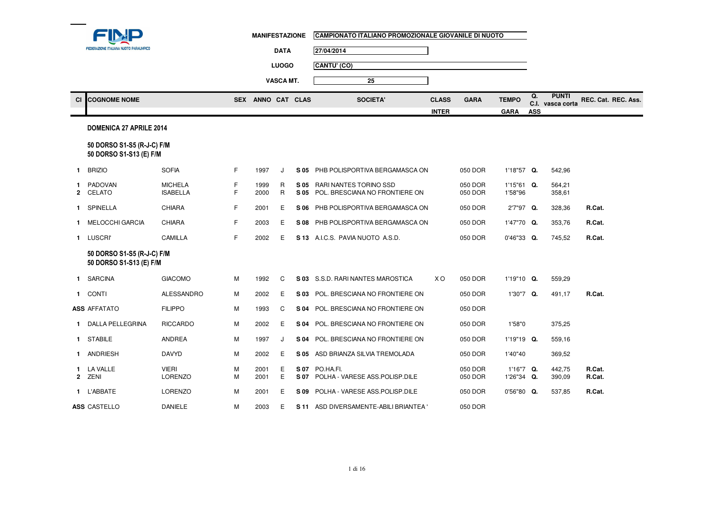|             | FEDERAZIONE ITALIANA NUOTO PARALIMPICO                |                                   |        | <b>MANIFESTAZIONE</b> |                  |              | CAMPIONATO ITALIANO PROMOZIONALE GIOVANILE DI NUOTO      |              |                    |                         |            |                                  |                     |
|-------------|-------------------------------------------------------|-----------------------------------|--------|-----------------------|------------------|--------------|----------------------------------------------------------|--------------|--------------------|-------------------------|------------|----------------------------------|---------------------|
|             |                                                       |                                   |        |                       | <b>DATA</b>      |              | 27/04/2014                                               |              |                    |                         |            |                                  |                     |
|             |                                                       |                                   |        |                       | <b>LUOGO</b>     |              | CANTU' (CO)                                              |              |                    |                         |            |                                  |                     |
|             |                                                       |                                   |        |                       | <b>VASCA MT.</b> |              | 25                                                       |              |                    |                         |            |                                  |                     |
| <b>CI</b>   | <b>COGNOME NOME</b>                                   |                                   |        | SEX ANNO CAT CLAS     |                  |              | <b>SOCIETA'</b>                                          | <b>CLASS</b> | <b>GARA</b>        | <b>TEMPO</b>            | Q.         | <b>PUNTI</b><br>C.I. vasca corta | REC. Cat. REC. Ass. |
|             |                                                       |                                   |        |                       |                  |              |                                                          | <b>INTER</b> |                    | <b>GARA</b>             | <b>ASS</b> |                                  |                     |
|             | <b>DOMENICA 27 APRILE 2014</b>                        |                                   |        |                       |                  |              |                                                          |              |                    |                         |            |                                  |                     |
|             | 50 DORSO S1-S5 (R-J-C) F/M<br>50 DORSO S1-S13 (E) F/M |                                   |        |                       |                  |              |                                                          |              |                    |                         |            |                                  |                     |
| 1           | <b>BRIZIO</b>                                         | <b>SOFIA</b>                      | F      | 1997                  | J                | S 05         | PHB POLISPORTIVA BERGAMASCA ON                           |              | 050 DOR            | 1'18"57 Q.              |            | 542.96                           |                     |
|             | <b>PADOVAN</b><br>2 CELATO                            | <b>MICHELA</b><br><b>ISABELLA</b> | F<br>F | 1999<br>2000          | R<br>$\mathsf R$ | S 05<br>S 05 | RARI NANTES TORINO SSD<br>POL. BRESCIANA NO FRONTIERE ON |              | 050 DOR<br>050 DOR | 1'15"61 Q.<br>1'58"96   |            | 564,21<br>358,61                 |                     |
|             | 1 SPINELLA                                            | <b>CHIARA</b>                     | F      | 2001                  | Е                | S 06         | PHB POLISPORTIVA BERGAMASCA ON                           |              | 050 DOR            | 2'7"97 Q.               |            | 328,36                           | R.Cat.              |
| 1.          | <b>MELOCCHI GARCIA</b>                                | <b>CHIARA</b>                     | F      | 2003                  | Е                | S 08         | PHB POLISPORTIVA BERGAMASCA ON                           |              | 050 DOR            | 1'47"70 Q.              |            | 353,76                           | R.Cat.              |
|             | 1 LUSCRI'                                             | CAMILLA                           | F      | 2002                  | Е                |              | S 13 A.I.C.S. PAVIA NUOTO A.S.D.                         |              | 050 DOR            | $0'46''33$ Q.           |            | 745,52                           | R.Cat.              |
|             | 50 DORSO S1-S5 (R-J-C) F/M<br>50 DORSO S1-S13 (E) F/M |                                   |        |                       |                  |              |                                                          |              |                    |                         |            |                                  |                     |
|             | 1 SARCINA                                             | <b>GIACOMO</b>                    | M      | 1992                  | C                |              | S 03 S.S.D. RARI NANTES MAROSTICA                        | X O          | 050 DOR            | $1'19"10$ Q.            |            | 559,29                           |                     |
| $\mathbf 1$ | <b>CONTI</b>                                          | ALESSANDRO                        | M      | 2002                  | Е                | S 03         | POL. BRESCIANA NO FRONTIERE ON                           |              | 050 DOR            | 1'30"7 Q.               |            | 491,17                           | R.Cat.              |
|             | <b>ASS AFFATATO</b>                                   | <b>FILIPPO</b>                    | M      | 1993                  | C                | S 04         | POL. BRESCIANA NO FRONTIERE ON                           |              | 050 DOR            |                         |            |                                  |                     |
|             | 1 DALLA PELLEGRINA                                    | <b>RICCARDO</b>                   | M      | 2002                  | Е                | S 04         | POL. BRESCIANA NO FRONTIERE ON                           |              | 050 DOR            | 1'58"0                  |            | 375,25                           |                     |
|             | 1 STABILE                                             | <b>ANDREA</b>                     | M      | 1997                  | J                | S 04         | POL. BRESCIANA NO FRONTIERE ON                           |              | 050 DOR            | 1'19"19 Q.              |            | 559,16                           |                     |
|             | 1 ANDRIESH                                            | <b>DAVYD</b>                      | M      | 2002                  | E                | S 05         | ASD BRIANZA SILVIA TREMOLADA                             |              | 050 DOR            | 1'40"40                 |            | 369,52                           |                     |
|             | 1 LA VALLE<br>2 ZENI                                  | <b>VIERI</b><br><b>LORENZO</b>    | M<br>M | 2001<br>2001          | Е<br>E           | S 07         | S 07 PO.HA.FI.<br>POLHA - VARESE ASS.POLISP.DILE         |              | 050 DOR<br>050 DOR | 1'16"7 Q.<br>1'26"34 Q. |            | 442,75<br>390,09                 | R.Cat.<br>R.Cat.    |
|             | 1 L'ABBATE                                            | <b>LORENZO</b>                    | M      | 2001                  | Е                | S 09         | POLHA - VARESE ASS.POLISP.DILE                           |              | 050 DOR            | $0'56''80$ Q.           |            | 537,85                           | R.Cat.              |
|             | <b>ASS CASTELLO</b>                                   | <b>DANIELE</b>                    | M      | 2003                  | Е                |              | S 11 ASD DIVERSAMENTE-ABILI BRIANTEA '                   |              | 050 DOR            |                         |            |                                  |                     |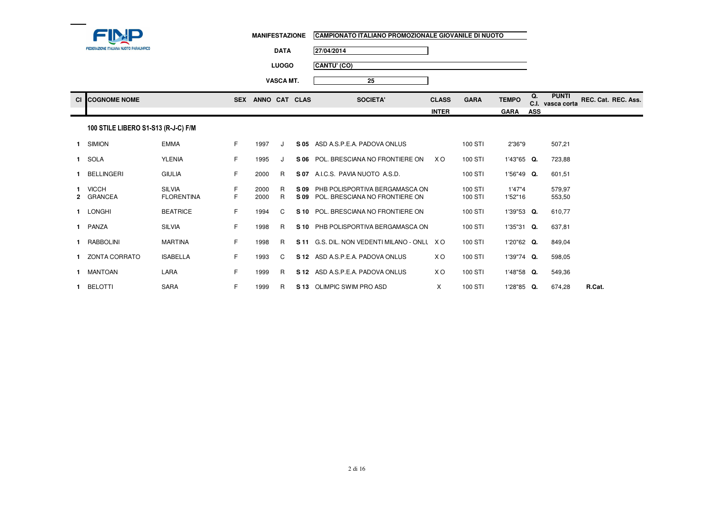

| MANIFESTAZIONE | CAMPIONATO ITALIANO PROMOZIONALE GIOVANILE DI NUOTO |
|----------------|-----------------------------------------------------|
|                |                                                     |

**DATA27/04/2014**

**LUOGOCANTU' (CO)**

**VASCA MT.**

| CI <b>I</b> COGNOME NOME | <b>SEX</b> | <b>ANNO</b> | <b>CAT</b> | <b>CLAS</b> | <b>SOCIETA</b> | CLASS        | <b>GARA</b> | <b>TEMPO</b> | <b>.</b><br>v.ı. | <b>PUNTI</b><br>vasca corta | REC. Cat. REC. Ass. |
|--------------------------|------------|-------------|------------|-------------|----------------|--------------|-------------|--------------|------------------|-----------------------------|---------------------|
|                          |            |             |            |             |                | <b>INTER</b> |             | <b>GARA</b>  | ASS              |                             |                     |

**25**

## 100 STILE LIBERO S1-S13 (R-J-C) F/M

| 1 SIMION                  | <b>EMMA</b>                        | F. | 1997         |         | S 05         | ASD A.S.P.E.A. PADOVA ONLUS                                      |                | 100 STI            | 2'36"9            | 507,21           |
|---------------------------|------------------------------------|----|--------------|---------|--------------|------------------------------------------------------------------|----------------|--------------------|-------------------|------------------|
| 1 SOLA                    | <b>YLENIA</b>                      | F. | 1995         |         | S 06         | POL. BRESCIANA NO FRONTIERE ON                                   | X O            | 100 STI            | $1'43''65$ Q.     | 723,88           |
| BELLINGERI                | <b>GIULIA</b>                      | F. | 2000         | R       | S 07         | A.I.C.S. PAVIA NUOTO A.S.D.                                      |                | 100 STI            | $1'56''49$ Q.     | 601,51           |
| <b>VICCH</b><br>2 GRANCEA | <b>SILVIA</b><br><b>FLORENTINA</b> | F. | 2000<br>2000 | R.<br>R | S 09<br>S 09 | PHB POLISPORTIVA BERGAMASCA ON<br>POL. BRESCIANA NO FRONTIERE ON |                | 100 STI<br>100 STI | 1'47"4<br>1'52"16 | 579,97<br>553,50 |
| 1 LONGHI                  | <b>BEATRICE</b>                    | F. | 1994         | C.      | S 10         | POL. BRESCIANA NO FRONTIERE ON                                   |                | 100 STI            | 1'39"53 Q.        | 610,77           |
| 1 PANZA                   | <b>SILVIA</b>                      | F. | 1998         | R.      | S 10         | PHB POLISPORTIVA BERGAMASCA ON                                   |                | 100 STI            | $1'35''31$ Q.     | 637,81           |
| RABBOLINI                 | <b>MARTINA</b>                     | F. | 1998         | R.      | S 11         | G.S. DIL. NON VEDENTI MILANO - ONLL                              | X O            | 100 STI            | 1'20"62 Q.        | 849,04           |
| ZONTA CORRATO             | <b>ISABELLA</b>                    | F. | 1993         | C.      |              | S 12 ASD A.S.P.E.A. PADOVA ONLUS                                 | X <sub>O</sub> | 100 STI            | 1'39"74 Q.        | 598,05           |
| MANTOAN                   | LARA                               | F. | 1999         | R.      | S 12         | ASD A.S.P.E.A. PADOVA ONLUS                                      | X O            | 100 STI            | 1'48"58 Q.        | 549,36           |
| BELOTTI                   | <b>SARA</b>                        | F. | 1999         | R.      |              | S 13 OLIMPIC SWIM PRO ASD                                        | X              | 100 STI            | 1'28"85 Q.        | R.Cat.<br>674,28 |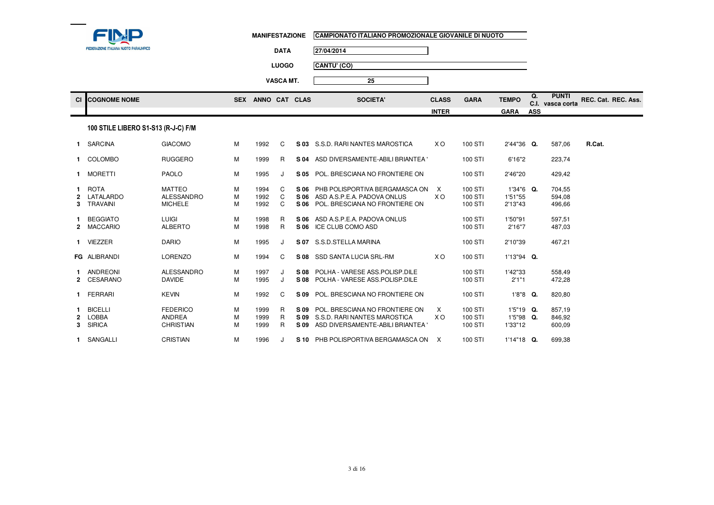

**3** SIRICA

**1** SANGALLI CRISTIAN

| MANIFESTAZIONE | :     ICAMPIONATO ITALIANO PROMOZIONALE GIOVANILE DI NUOTO |
|----------------|------------------------------------------------------------|
|                |                                                            |

 $\overline{\phantom{0}}$ 

**25**

**DATA27/04/2014**

**LUOGOCANTU' (CO)**

**VASCA MT.**

<sup>M</sup>

N M

| СI                  | <b>COGNOME NOME</b>                      |                                                      |             | SEX ANNO CAT CLAS    |             | <b>SOCIETA'</b>                                                                                                  | <b>CLASS</b>        | <b>GARA</b>                   | <b>TEMPO</b>                         | Q.         | <b>PUNTI</b><br>C.I. vasca corta | REC. Cat. REC. Ass. |  |
|---------------------|------------------------------------------|------------------------------------------------------|-------------|----------------------|-------------|------------------------------------------------------------------------------------------------------------------|---------------------|-------------------------------|--------------------------------------|------------|----------------------------------|---------------------|--|
|                     |                                          |                                                      |             |                      |             |                                                                                                                  | <b>INTER</b>        |                               | <b>GARA</b>                          | <b>ASS</b> |                                  |                     |  |
|                     | 100 STILE LIBERO S1-S13 (R-J-C) F/M      |                                                      |             |                      |             |                                                                                                                  |                     |                               |                                      |            |                                  |                     |  |
|                     | 1 SARCINA                                | <b>GIACOMO</b>                                       | м           | 1992                 | C           | S 03 S.S.D. RARI NANTES MAROSTICA                                                                                | X O                 | 100 STI                       | 2'44"36 Q.                           |            | 587,06                           | R.Cat.              |  |
|                     | 1 COLOMBO                                | <b>RUGGERO</b>                                       | М           | 1999                 | R           | S 04 ASD DIVERSAMENTE-ABILI BRIANTEA                                                                             |                     | 100 STI                       | 6'16"2                               |            | 223,74                           |                     |  |
|                     | 1 MORETTI                                | <b>PAOLO</b>                                         | М           | 1995                 | J           | S 05 POL. BRESCIANA NO FRONTIERE ON                                                                              |                     | 100 STI                       | 2'46"20                              |            | 429,42                           |                     |  |
| $\mathbf{2}$<br>3   | 1 ROTA<br>LATALARDO<br>TRAVAINI          | <b>MATTEO</b><br><b>ALESSANDRO</b><br><b>MICHELE</b> | M<br>M<br>M | 1994<br>1992<br>1992 | C<br>C<br>C | S 06 PHB POLISPORTIVA BERGAMASCA ON<br>S 06 ASD A.S.P.E.A. PADOVA ONLUS<br>S 06 POL. BRESCIANA NO FRONTIERE ON   | X<br>X <sub>O</sub> | 100 STI<br>100 STI<br>100 STI | 1'34"6 Q.<br>1'51"55<br>2'13"43      |            | 704,55<br>594,08<br>496,66       |                     |  |
|                     | 1 BEGGIATO<br>2 MACCARIO                 | <b>LUIGI</b><br><b>ALBERTO</b>                       | M<br>м      | 1998<br>1998         | R<br>R.     | S 06 ASD A.S.P.E.A. PADOVA ONLUS<br>S 06 ICE CLUB COMO ASD                                                       |                     | 100 STI<br>100 STI            | 1'50"91<br>2'16"7                    |            | 597,51<br>487,03                 |                     |  |
|                     | 1 VIEZZER                                | <b>DARIO</b>                                         | м           | 1995                 | J           | S 07 S.S.D.STELLA MARINA                                                                                         |                     | 100 STI                       | 2'10"39                              |            | 467.21                           |                     |  |
|                     | FG ALIBRANDI                             | <b>LORENZO</b>                                       | M           | 1994                 | C           | S 08 SSD SANTA LUCIA SRL-RM                                                                                      | X O                 | 100 STI                       | 1'13"94 Q.                           |            |                                  |                     |  |
|                     | 1 ANDREONI<br>CESARANO                   | ALESSANDRO<br><b>DAVIDE</b>                          | м<br>M      | 1997<br>1995         | J<br>J      | S 08 POLHA - VARESE ASS. POLISP. DILE<br>S 08 POLHA - VARESE ASS. POLISP. DILE                                   |                     | 100 STI<br>100 STI            | 1'42"33<br>2'1"1                     |            | 558,49<br>472,28                 |                     |  |
|                     | 1 FERRARI                                | <b>KEVIN</b>                                         | м           | 1992                 | C           | S 09 POL. BRESCIANA NO FRONTIERE ON                                                                              |                     | 100 STI                       | $1'8''8$ Q.                          |            | 820,80                           |                     |  |
| $\overline{2}$<br>3 | <b>BICELLI</b><br>LOBBA<br><b>SIRICA</b> | <b>FEDERICO</b><br><b>ANDREA</b><br><b>CHRISTIAN</b> | м<br>M<br>M | 1999<br>1999<br>1999 | R<br>R<br>R | S 09 POL. BRESCIANA NO FRONTIERE ON<br>S 09 S.S.D. RARI NANTES MAROSTICA<br>S 09 ASD DIVERSAMENTE-ABILI BRIANTEA | X<br>X O            | 100 STI<br>100 STI<br>100 STI | $1'5''19$ Q.<br>1'5"98 Q.<br>1'33"12 |            | 857,19<br>846,92<br>600.09       |                     |  |

M 1999 R **S 09** ASD DIVERSAMENTE-ABILI BRIANTEA ' 100 STI 1'33"12 600,09

<sup>1996</sup> <sup>J</sup> **S 10** PHB POLISPORTIVA BERGAMASCA ONLUSX 100 STI 1'14"18 **Q.** 699,38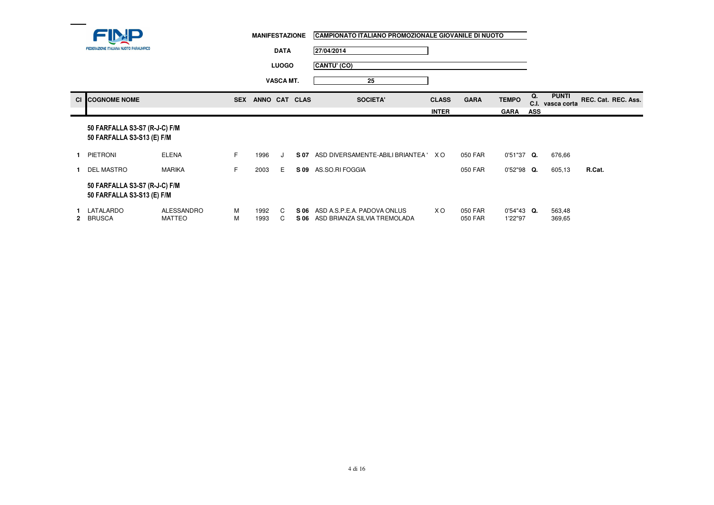|           | <b>MANIFESTAZIONE</b>                                       |                             |            |                  |              | CAMPIONATO ITALIANO PROMOZIONALE GIOVANILE DI NUOTO |                                                             |                |                    |                          |            |                             |                     |  |
|-----------|-------------------------------------------------------------|-----------------------------|------------|------------------|--------------|-----------------------------------------------------|-------------------------------------------------------------|----------------|--------------------|--------------------------|------------|-----------------------------|---------------------|--|
|           | FEDERAZIONE ITALIANA NUOTO PARALIMPICO                      |                             |            |                  | <b>DATA</b>  |                                                     | 27/04/2014                                                  |                |                    |                          |            |                             |                     |  |
|           |                                                             |                             |            |                  | <b>LUOGO</b> |                                                     | CANTU' (CO)                                                 |                |                    |                          |            |                             |                     |  |
|           |                                                             |                             |            | <b>VASCA MT.</b> |              |                                                     | 25                                                          |                |                    |                          |            |                             |                     |  |
| <b>CI</b> | <b>COGNOME NOME</b>                                         |                             | <b>SEX</b> | ANNO CAT CLAS    |              |                                                     | <b>SOCIETA'</b>                                             | <b>CLASS</b>   | <b>GARA</b>        | <b>TEMPO</b>             | Q.<br>C.I. | <b>PUNTI</b><br>vasca corta | REC. Cat. REC. Ass. |  |
|           |                                                             |                             |            |                  |              |                                                     |                                                             | <b>INTER</b>   |                    | <b>GARA</b>              | <b>ASS</b> |                             |                     |  |
|           | 50 FARFALLA S3-S7 (R-J-C) F/M<br>50 FARFALLA S3-S13 (E) F/M |                             |            |                  |              |                                                     |                                                             |                |                    |                          |            |                             |                     |  |
| 1.        | <b>PIETRONI</b>                                             | <b>ELENA</b>                | F          | 1996             | $\cdot$      | S 07                                                | ASD DIVERSAMENTE-ABILI BRIANTEA '                           | X O            | 050 FAR            | 0'51"37 Q.               |            | 676,66                      |                     |  |
|           | <b>DEL MASTRO</b>                                           | MARIKA                      | F          | 2003             | Е            | S 09                                                | AS.SO.RI FOGGIA                                             |                | 050 FAR            | $0'52''98$ Q.            |            | 605,13                      | R.Cat.              |  |
|           | 50 FARFALLA S3-S7 (R-J-C) F/M<br>50 FARFALLA S3-S13 (E) F/M |                             |            |                  |              |                                                     |                                                             |                |                    |                          |            |                             |                     |  |
| 2         | LATALARDO<br><b>BRUSCA</b>                                  | <b>ALESSANDRO</b><br>MATTEO | м<br>M     | 1992<br>1993     | C<br>C       | S 06<br>S 06                                        | ASD A S.P.E.A. PADOVA ONLUS<br>ASD BRIANZA SILVIA TREMOLADA | X <sub>O</sub> | 050 FAR<br>050 FAR | $0'54''43$ Q.<br>1'22"97 |            | 563,48<br>369,65            |                     |  |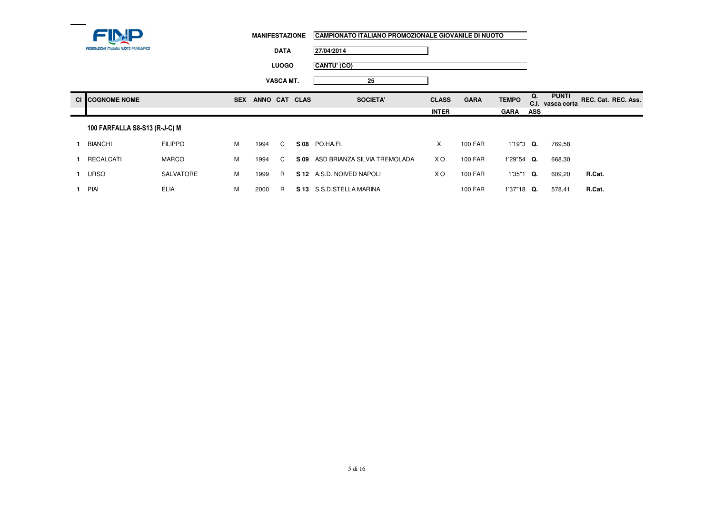| <b>FEDERAZIONE ITALIANA NUOTO PARALIMPICO</b> |
|-----------------------------------------------|

**DATA27/04/2014**

**LUOGOCANTU' (CO)**

**VASCA MT.25**

| $\sim$ | <b>DGNOME NOME</b> | <b>SEX</b> | <b>ANNO</b><br><b>CAT</b> | <b>CLAS</b> | <b>SOCIETA'</b> | <b>CLASS</b> | <b>GARA</b> | <b>TEMPO</b> | $\mathbf{u}$<br>◡… | <b>PUNTI</b><br>vasca corta | REC. Cat. REC. Ass. |  |
|--------|--------------------|------------|---------------------------|-------------|-----------------|--------------|-------------|--------------|--------------------|-----------------------------|---------------------|--|
|        |                    |            |                           |             |                 | <b>INTER</b> |             | <b>GARA</b>  | ASS                |                             |                     |  |
|        |                    |            |                           |             |                 |              |             |              |                    |                             |                     |  |

### 100 FARFALLA S8-S13 (R-J-C) M

| <b>BIANCHI</b> | <b>FILIPPO</b> | M | 1994 |    | S08 PO.HA.FI.                     |                | 100 FAR        | $1'19''3$ Q.  | 769.58 |        |
|----------------|----------------|---|------|----|-----------------------------------|----------------|----------------|---------------|--------|--------|
| RECALCATI      | <b>MARCO</b>   | M | 1994 |    | S 09 ASD BRIANZA SILVIA TREMOLADA | X <sub>O</sub> | 100 FAR        | $1'29''54$ Q. | 668,30 |        |
| URSO           | SALVATORE      | M | 1999 | R. | S 12 A S.D. NOIVED NAPOLI         | xо             | 100 FAR        | 1'35"1<br>O.  | 609.20 | R.Cat. |
| PIAI           | <b>ELIA</b>    | M | 2000 | R  | S 13 S.S.D.STELLA MARINA          |                | <b>100 FAR</b> | $1'37"18$ Q.  | 578.41 | R.Cat. |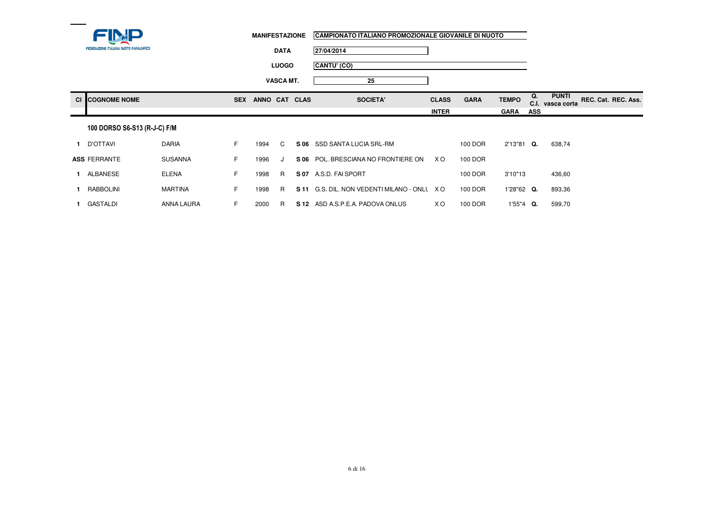| <b>FEDERAZIONE ITALIANA NUOTO PARALIMPICO</b> |
|-----------------------------------------------|

**DATA27/04/2014**

**25**

**LUOGOCANTU' (CO)**

**VASCA MT.**

| <b>CI COGNOME NOME</b> | <b>SEX</b> | <b>ANNC</b> | <b>CAT</b> | <b>CLAS</b> | <b>SOCIETA</b> | <b>CLASS</b> | <b>GARA</b> | <b>TEMPO</b> | $\sim$<br>v.i. | <b>PUNTI</b><br>vasca corta | REC. Cat. REC. Ass. |
|------------------------|------------|-------------|------------|-------------|----------------|--------------|-------------|--------------|----------------|-----------------------------|---------------------|
|                        |            |             |            |             |                | <b>INTER</b> |             | <b>GARA</b>  | ASS            |                             |                     |

## 100 DORSO S6-S13 (R-J-C) F/M

| D'OTTAVI            | <b>DARIA</b>   | <u>ь</u> | 1994 |   |      | S 06 SSD SANTA LUCIA SRL-RM         |     | 100 DOR | 2'13"81<br>O. | 638,74 |
|---------------------|----------------|----------|------|---|------|-------------------------------------|-----|---------|---------------|--------|
| <b>ASS FERRANTE</b> | <b>SUSANNA</b> | E.       | 1996 |   | S 06 | POL. BRESCIANA NO FRONTIERE ON      | X O | 100 DOR |               |        |
| ALBANESE            | ELENA          | н.       | 1998 | R | S 07 | A.S.D. FAI SPORT                    |     | 100 DOR | 3'10"13       | 436,60 |
| RABBOLINI           | <b>MARTINA</b> | E.       | 1998 | R | S 11 | G.S. DIL. NON VEDENTI MILANO - ONLL | X O | 100 DOR | $1'28"62$ Q.  | 893.36 |
| GASTALDI            | ANNA LAURA     | <b>L</b> | 2000 | R | S 12 | ASD A S.P.E.A. PADOVA ONLUS         | X O | 100 DOR | $1'55''4$ Q.  | 599,70 |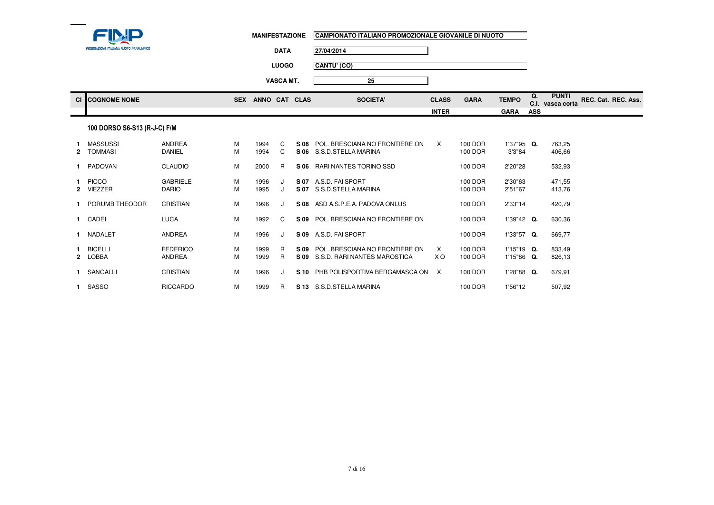

**25**

**DATA27/04/2014**

**LUOGOCANTU' (CO)**

**VASCA MT.**

**Cl COGNOME NOME SEX ANNO CAT CLAS SOCIETA' CLASS GARA TEMPO Q. C.I. PUNTI vasca corta REC. Cat. REC. Ass. INTER GARA ASS**

#### 100 DORSO S6-S13 (R-J-C) F/M

| 2 | <b>MASSUSSI</b><br>TOMMASI     | <b>ANDREA</b><br><b>DANIEL</b>   | м<br>M | 1994<br>1994 | C.<br>C | S 06<br>S 06 | POL. BRESCIANA NO FRONTIERE ON<br>S.S.D.STELLA MARINA          | X        | 100 DOR<br>100 DOR | 1'37"95 Q.<br>3'3"84          | 763,25<br>406,66 |
|---|--------------------------------|----------------------------------|--------|--------------|---------|--------------|----------------------------------------------------------------|----------|--------------------|-------------------------------|------------------|
|   | PADOVAN                        | <b>CLAUDIO</b>                   | М      | 2000         | R       | S 06         | RARI NANTES TORINO SSD                                         |          | 100 DOR            | 2'20"28                       | 532,93           |
|   | <b>PICCO</b><br><b>VIEZZER</b> | <b>GABRIELE</b><br><b>DARIO</b>  | м<br>М | 1996<br>1995 |         | S 07<br>S 07 | A.S.D. FAI SPORT<br>S.S.D.STELLA MARINA                        |          | 100 DOR<br>100 DOR | 2'30"63<br>2'51"67            | 471,55<br>413,76 |
|   | PORUMB THEODOR                 | CRISTIAN                         | М      | 1996         |         | S 08         | ASD A S.P.E.A. PADOVA ONLUS                                    |          | 100 DOR            | 2'33"14                       | 420,79           |
|   | CADEI                          | <b>LUCA</b>                      | М      | 1992         | C       | S 09         | POL. BRESCIANA NO FRONTIERE ON                                 |          | 100 DOR            | $1'39''42$ Q.                 | 630,36           |
|   | NADALET                        | <b>ANDREA</b>                    | М      | 1996         |         | S 09         | A.S.D. FAI SPORT                                               |          | 100 DOR            | 1'33"57<br>Q.                 | 669,77           |
| 2 | <b>BICELLI</b><br>LOBBA        | <b>FEDERICO</b><br><b>ANDREA</b> | м<br>М | 1999<br>1999 | R<br>R  | S 09<br>S 09 | POL. BRESCIANA NO FRONTIERE ON<br>S.S.D. RARI NANTES MAROSTICA | X<br>X O | 100 DOR<br>100 DOR | $1'15"19$ Q.<br>$1'15''86$ Q. | 833,49<br>826,13 |
|   | <b>SANGALLI</b>                | CRISTIAN                         | М      | 1996         |         | S 10         | PHB POLISPORTIVA BERGAMASCA ON                                 | X        | 100 DOR            | 1'28"88 Q.                    | 679,91           |
|   | SASSO                          | <b>RICCARDO</b>                  | М      | 1999         | R       | S 13         | S.S.D.STELLA MARINA                                            |          | 100 DOR            | 1'56"12                       | 507,92           |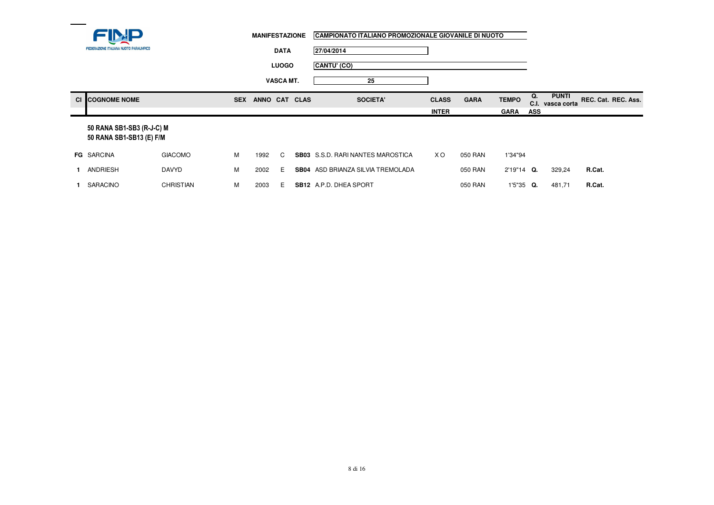|      |                                                       |                  | <b>MANIFESTAZIONE</b> |               |                  | CAMPIONATO ITALIANO PROMOZIONALE GIOVANILE DI NUOTO |              |             |              |            |                                  |                     |  |
|------|-------------------------------------------------------|------------------|-----------------------|---------------|------------------|-----------------------------------------------------|--------------|-------------|--------------|------------|----------------------------------|---------------------|--|
|      | FEDERAZIONE ITALIANA NUOTO PARALIMPICO                |                  |                       | <b>DATA</b>   |                  | 27/04/2014                                          |              |             |              |            |                                  |                     |  |
|      |                                                       |                  |                       |               | <b>LUOGO</b>     | CANTU' (CO)                                         |              |             |              |            |                                  |                     |  |
|      |                                                       |                  |                       |               | <b>VASCA MT.</b> | 25                                                  |              |             |              |            |                                  |                     |  |
| CI I | <b>COGNOME NOME</b>                                   |                  | <b>SEX</b>            | ANNO CAT CLAS |                  | <b>SOCIETA'</b>                                     | <b>CLASS</b> | <b>GARA</b> | <b>TEMPO</b> | Q.         | <b>PUNTI</b><br>C.I. vasca corta | REC. Cat. REC. Ass. |  |
|      |                                                       |                  |                       |               |                  |                                                     | <b>INTER</b> |             | <b>GARA</b>  | <b>ASS</b> |                                  |                     |  |
|      | 50 RANA SB1-SB3 (R-J-C) M<br>50 RANA SB1-SB13 (E) F/M |                  |                       |               |                  |                                                     |              |             |              |            |                                  |                     |  |
|      | <b>FG SARCINA</b>                                     | <b>GIACOMO</b>   | M                     | 1992          | C                | <b>SB03</b> S.S.D. RARI NANTES MAROSTICA            | X O          | 050 RAN     | 1'34"94      |            |                                  |                     |  |
|      | ANDRIESH                                              | <b>DAVYD</b>     | M                     | 2002          | Е                | SB04 ASD BRIANZA SILVIA TREMOLADA                   |              | 050 RAN     | 2'19"14 Q.   |            | 329,24                           | R.Cat.              |  |
|      | SARACINO                                              | <b>CHRISTIAN</b> | М                     | 2003          | Е                | <b>SB12</b> A.P.D. DHEA SPORT                       |              | 050 RAN     | 1'5"35       | Q.         | 481,71                           | R.Cat.              |  |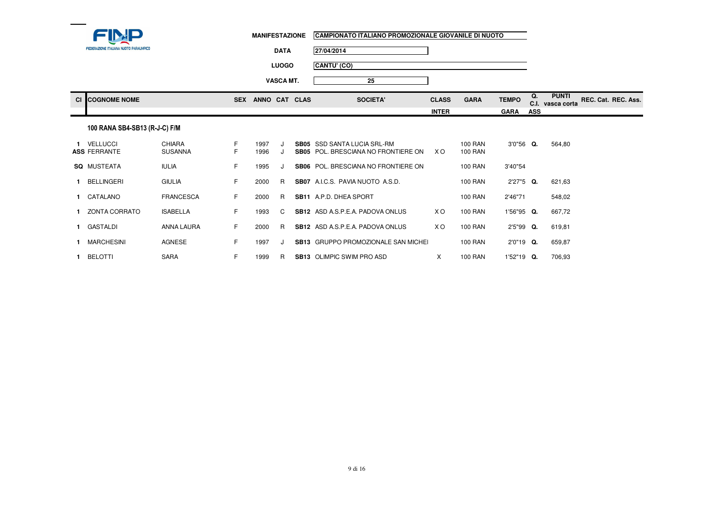| <b>FEDERAZIONE ITALIANA NUOTO PARALIMPICO</b> |
|-----------------------------------------------|

| MANIFESTAZIONE CAMPIONATO ITALIANO PROMOZIONALE GIOVANILE DI NUOTO |
|--------------------------------------------------------------------|
|                                                                    |

**DATA27/04/2014**

**LUOGOCANTU' (CO)**

**VASCA MT.25**

| <b>CI COGNOME NOME</b> | <b>SEX</b> | <b>ANNO</b><br><b>CAT</b> | <b>CLAS</b> | <b>SOCIETA'</b> | <b>CLASS</b> | <b>GARA</b> | <b>TEMPO</b> | $\mathbf{u}$ .<br>v.ı. | <b>PUNTI</b><br>vasca corta | REC. Cat. | REC. Ass. |
|------------------------|------------|---------------------------|-------------|-----------------|--------------|-------------|--------------|------------------------|-----------------------------|-----------|-----------|
|                        |            |                           |             |                 | <b>INTER</b> |             | <b>GARA</b>  | ASS                    |                             |           |           |

# 100 RANA SB4-SB13 (R-J-C) F/M

|     | <b>VELLUCCI</b><br><b>ASS FERRANTE</b> | CHIARA<br><b>SUSANNA</b> | F.<br>F. | 1997<br>1996 | J<br>J  | SB05<br>SB05 | SSD SANTA LUCIA SRL-RM<br>POL. BRESCIANA NO FRONTIERE ON | X O | <b>100 RAN</b><br><b>100 RAN</b> | 3'0"56    | O. | 564,80 |
|-----|----------------------------------------|--------------------------|----------|--------------|---------|--------------|----------------------------------------------------------|-----|----------------------------------|-----------|----|--------|
| SQ. | MUSTEATA                               | <b>IULIA</b>             | F.       | 1995         | J       | SB06         | POL. BRESCIANA NO FRONTIERE ON                           |     | <b>100 RAN</b>                   | 3'40"54   |    |        |
|     | <b>BELLINGERI</b>                      | <b>GIULIA</b>            | F.       | 2000         | R       | <b>SB07</b>  | A.I.C.S. PAVIA NUOTO A.S.D.                              |     | <b>100 RAN</b>                   | 2'27"5 Q. |    | 621.63 |
|     | CATALANO                               | FRANCESCA                | F.       | 2000         | R       | <b>SB11</b>  | A.P.D. DHEA SPORT                                        |     | <b>100 RAN</b>                   | 2'46"71   |    | 548,02 |
|     | ZONTA CORRATO                          | <b>ISABELLA</b>          | F.       | 1993         | C.      |              | <b>SB12</b> ASD A S.P.E.A. PADOVA ONLUS                  | X O | <b>100 RAN</b>                   | '56"95    | Q. | 667.72 |
|     | GASTALDI                               | ANNA LAURA               | F.       | 2000         | R       |              | <b>SB12</b> ASD A S.P.E.A. PADOVA ONLUS                  | X O | <b>100 RAN</b>                   | 2'5"99    | Q. | 619.81 |
|     | <b>MARCHESINI</b>                      | <b>AGNESE</b>            | F.       | 1997         | $\cdot$ |              | <b>SB13</b> GRUPPO PROMOZIONALE SAN MICHEL               |     | 100 RAN                          | 2'0"19    | O. | 659,87 |
|     | <b>BELOTTI</b>                         | <b>SARA</b>              | F.       | 1999         | R       | <b>SB13</b>  | OLIMPIC SWIM PRO ASD                                     | X   | <b>100 RAN</b>                   | 1'52"19   | O. | 706,93 |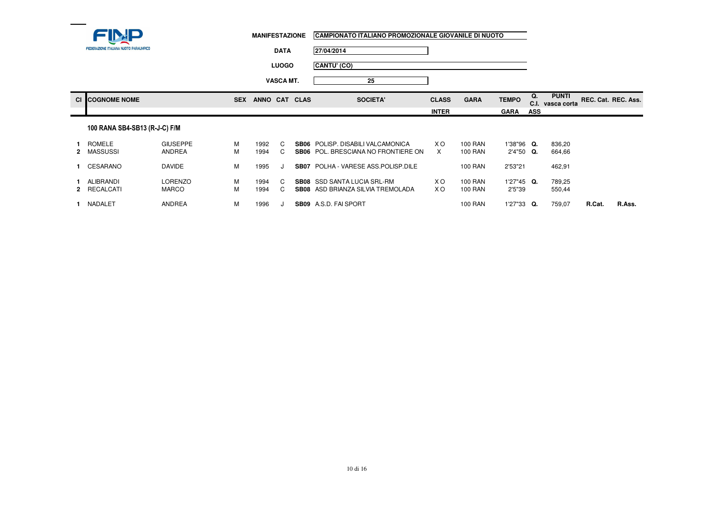| <b>FEDERAZIONE ITALIANA NUOTO PARALIMPICO</b> |
|-----------------------------------------------|

 $\overline{C}$  **COGNOME NOME** 

**2** MASSUSSI ANDREA

**1** ALIBRANDI LORENZO

**2** RECALCATI MARCO

GIUSEPPE M<br>ANDREA M

DAVIDE M

ANDREA

<sup>M</sup>

O M

<sup>M</sup>

<sup>M</sup>

**1** ROMELE

**1** CESARANO

**1** NADALET

|                                        | <b>MANIFESTAZIONE</b>       | CAMPIONATO ITALIANO PROMOZIONALE GIOVANILE DI NUOTO |                             |              |                                           |                     |
|----------------------------------------|-----------------------------|-----------------------------------------------------|-----------------------------|--------------|-------------------------------------------|---------------------|
| FEDERAZIONE ITALIANA NUOTO PARALIMPICO | <b>DATA</b>                 | 27/04/2014                                          |                             |              |                                           |                     |
|                                        | <b>LUOGO</b>                | CANTU' (CO)                                         |                             |              |                                           |                     |
|                                        | <b>VASCA MT.</b>            | 25                                                  |                             |              |                                           |                     |
| <b>COGNOME NOME</b>                    | ANNO CAT CLAS<br><b>SEX</b> | <b>SOCIETA</b>                                      | <b>CLASS</b><br><b>GARA</b> | <b>TEMPO</b> | <b>PUNTI</b><br>Q.<br>C.I.<br>vasca corta | REC. Cat. REC. Ass. |
|                                        |                             |                                                     | <b>INTER</b>                | <b>GARA</b>  | <b>ASS</b>                                |                     |
| 100 RANA SB4-SB13 (R-J-C) F/M          |                             |                                                     |                             |              |                                           |                     |

**SB06** POL. BRESCIANA NO FRONTIERE ON

**SB08** ASD BRIANZA SILVIA TREMOLADA

<sup>1992</sup> <sup>C</sup> **SB06** POLISP. DISABILI VALCAMONICA X O 100 RAN 1'38"96 **Q.** 836,20

<sup>1995</sup> <sup>J</sup> **SB07** POLHA - VARESE ASS.POLISP.DILE 100 RAN 2'53"21 462,91

<sup>1996</sup> <sup>J</sup> **SB09** A.S.D. FAI SPORT 100 RAN 1'27"33 **Q.** 759,07 **R.Cat. R.Ass.**

<sup>1994</sup> <sup>C</sup> **SB08** SSD SANTA LUCIA SRL-RM X O 100 RAN 1'27"45 **Q.** 789,25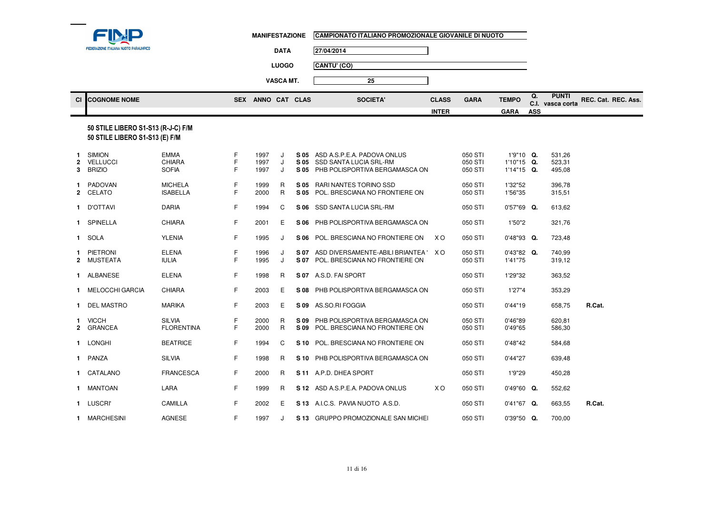| <b>FEDERAZIONE ITALIANA NUOTO PARALIMPICO</b> |
|-----------------------------------------------|

 $\overline{\text{CO}}$  **COGNOME NOME** 

|        |                                                                                                                                                                                                                                                                                                                                                                                      |                                              |             | <b>MANIFESTAZIONE</b> |                  |              | CAMPIONATO ITALIANO PROMOZIONALE GIOVANILE DI NUOTO                                          |                              |                               |                                           |                  |                                                         |
|--------|--------------------------------------------------------------------------------------------------------------------------------------------------------------------------------------------------------------------------------------------------------------------------------------------------------------------------------------------------------------------------------------|----------------------------------------------|-------------|-----------------------|------------------|--------------|----------------------------------------------------------------------------------------------|------------------------------|-------------------------------|-------------------------------------------|------------------|---------------------------------------------------------|
|        | FEDERAZIONE ITALIANA NUOTO PARALIMPICO                                                                                                                                                                                                                                                                                                                                               |                                              |             | <b>DATA</b>           |                  |              | 27/04/2014                                                                                   |                              |                               |                                           |                  |                                                         |
|        |                                                                                                                                                                                                                                                                                                                                                                                      |                                              |             |                       | <b>LUOGO</b>     |              | CANTU' (CO)                                                                                  |                              |                               |                                           |                  |                                                         |
|        |                                                                                                                                                                                                                                                                                                                                                                                      |                                              |             |                       | <b>VASCA MT.</b> |              | 25                                                                                           |                              |                               |                                           |                  |                                                         |
|        | <b>COGNOME NOME</b>                                                                                                                                                                                                                                                                                                                                                                  |                                              |             | SEX ANNO CAT CLAS     |                  |              | <b>SOCIETA'</b>                                                                              | <b>CLASS</b><br><b>INTER</b> | <b>GARA</b>                   | <b>TEMPO</b><br><b>GARA</b>               | Q.<br><b>ASS</b> | <b>PUNTI</b><br>REC. Cat. REC. Ass.<br>C.I. vasca corta |
|        | 50 STILE LIBERO S1-S13 (R-J-C) F/M<br>50 STILE LIBERO S1-S13 (E) F/M                                                                                                                                                                                                                                                                                                                 |                                              |             |                       |                  |              |                                                                                              |                              |                               |                                           |                  |                                                         |
| 2<br>3 | <b>SIMION</b><br><b>VELLUCCI</b><br><b>BRIZIO</b>                                                                                                                                                                                                                                                                                                                                    | <b>EMMA</b><br><b>CHIARA</b><br><b>SOFIA</b> | F<br>F<br>F | 1997<br>1997<br>1997  | J<br>J.<br>J     | S 05<br>S 05 | ASD A.S.P.E.A. PADOVA ONLUS<br>S 05 SSD SANTA LUCIA SRL-RM<br>PHB POLISPORTIVA BERGAMASCA ON |                              | 050 STI<br>050 STI<br>050 STI | 1'9"10 Q.<br>$1'10"15$ Q.<br>$1'14"15$ Q. |                  | 531,26<br>523,31<br>495,08                              |
|        | PADOVAN<br>2 CELATO                                                                                                                                                                                                                                                                                                                                                                  | <b>MICHELA</b><br><b>ISABELLA</b>            | F<br>F      | 1999<br>2000          | R<br>R           | S 05         | S 05 RARI NANTES TORINO SSD<br>POL. BRESCIANA NO FRONTIERE ON                                |                              | 050 STI<br>050 STI            | 1'32"52<br>1'56"35                        |                  | 396,78<br>315,51                                        |
|        | 1 D'OTTAVI                                                                                                                                                                                                                                                                                                                                                                           | <b>DARIA</b>                                 | F           | 1994                  | C                |              | S 06 SSD SANTA LUCIA SRL-RM                                                                  |                              | 050 STI                       | $0'57"69$ Q.                              |                  | 613,62                                                  |
|        | 1 SPINELLA                                                                                                                                                                                                                                                                                                                                                                           | <b>CHIARA</b>                                | F           | 2001                  | Е                |              | S 06 PHB POLISPORTIVA BERGAMASCA ON                                                          |                              | 050 STI                       | 1'50"2                                    |                  | 321,76                                                  |
|        | 1 SOLA                                                                                                                                                                                                                                                                                                                                                                               | <b>YLENIA</b>                                | F.          | 1995                  | J                |              | S 06 POL. BRESCIANA NO FRONTIERE ON                                                          | XO.                          | 050 STI                       | $0'48''93$ Q.                             |                  | 723,48                                                  |
|        | 1 PIETRONI<br>2 MUSTEATA                                                                                                                                                                                                                                                                                                                                                             | <b>ELENA</b><br><b>IULIA</b>                 | F<br>F.     | 1996<br>1995          | J<br>J.          | S 07         | S 07 ASD DIVERSAMENTE-ABILI BRIANTEA ' XO<br>POL. BRESCIANA NO FRONTIERE ON                  |                              | 050 STI<br>050 STI            | $0'43''82$ Q.<br>1'41"75                  |                  | 740,99<br>319,12                                        |
|        | 1 ALBANESE                                                                                                                                                                                                                                                                                                                                                                           | <b>ELENA</b>                                 | F           | 1998                  | R                |              | S 07 A.S.D. FAI SPORT                                                                        |                              | 050 STI                       | 1'29"32                                   |                  | 363,52                                                  |
|        | $\overline{a}$ $\overline{a}$ $\overline{b}$ $\overline{c}$ $\overline{c}$ $\overline{c}$ $\overline{c}$ $\overline{c}$ $\overline{c}$ $\overline{c}$ $\overline{c}$ $\overline{c}$ $\overline{c}$ $\overline{c}$ $\overline{c}$ $\overline{c}$ $\overline{c}$ $\overline{c}$ $\overline{c}$ $\overline{c}$ $\overline{c}$ $\overline{c}$ $\overline{c}$ $\overline{c}$ $\overline{$ | $\sim$ $\sim$ $\sim$ $\sim$                  |             | $\sim$ $\sim$ $\sim$  |                  |              | A A A                                                                                        |                              | $2.50$ $2.71$                 | $100 - 111$                               |                  | 2722                                                    |

| <b>ALBANESE</b>         | <b>ELENA</b>                       | F      | 1998         | R      | S 07         | A.S.D. FAI SPORT                                                 |     | 050 STI            | 1'29"32            | 363,52           |        |
|-------------------------|------------------------------------|--------|--------------|--------|--------------|------------------------------------------------------------------|-----|--------------------|--------------------|------------------|--------|
| <b>MELOCCHI GARCIA</b>  | <b>CHIARA</b>                      | F      | 2003         | E      | S 08         | PHB POLISPORTIVA BERGAMASCA ON                                   |     | 050 STI            | 1'27"4             | 353,29           |        |
| <b>DEL MASTRO</b>       | <b>MARIKA</b>                      | F      | 2003         | Е      | S 09         | AS.SO.RI FOGGIA                                                  |     | 050 STI            | 0'44"19            | 658,75           | R.Cat. |
| <b>VICCH</b><br>GRANCEA | <b>SILVIA</b><br><b>FLORENTINA</b> | F<br>F | 2000<br>2000 | R<br>R | S 09<br>S 09 | PHB POLISPORTIVA BERGAMASCA ON<br>POL. BRESCIANA NO FRONTIERE ON |     | 050 STI<br>050 STI | 0'46"89<br>0'49"65 | 620,81<br>586,30 |        |
| LONGHI                  | <b>BEATRICE</b>                    | F      | 1994         | C      | S 10         | POL. BRESCIANA NO FRONTIERE ON                                   |     | 050 STI            | 0'48"42            | 584,68           |        |
| PANZA                   | <b>SILVIA</b>                      | F      | 1998         | R      | S 10         | PHB POLISPORTIVA BERGAMASCA ON                                   |     | 050 STI            | 0'44"27            | 639,48           |        |
| CATALANO                | <b>FRANCESCA</b>                   | F      | 2000         | R      | S 11         | A.P.D. DHEA SPORT                                                |     | 050 STI            | 1'9"29             | 450,28           |        |
| <b>MANTOAN</b>          | LARA                               | F      | 1999         | R      | S 12         | ASD A S.P.E.A. PADOVA ONLUS                                      | X O | 050 STI            | $0'49''60$ Q.      | 552,62           |        |
| <b>LUSCRI</b>           | CAMILLA                            | F      | 2002         | Е      | S 13         | A.I.C.S. PAVIA NUOTO A.S.D.                                      |     | 050 STI            | 0'41"67<br>Q.      | 663,55           | R.Cat. |
| <b>MARCHESINI</b>       | <b>AGNESE</b>                      | F      | 1997         |        | S 13         | GRUPPO PROMOZIONALE SAN MICHEL                                   |     | 050 STI            | $0'39"50$ Q.       | 700,00           |        |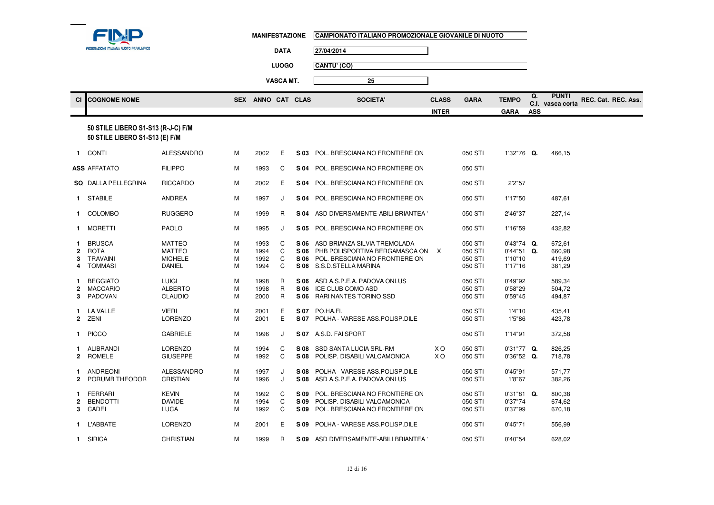| <b>FEDERAZIONE ITALIANA NUOTO PARALIMPICO</b> |  |
|-----------------------------------------------|--|

**1** BEGGIATO

**2** MACCARIO

**3** PADOVAN

**1** LA VALLE

**2**

**1** PICCO

**2** ROMELE

**1** L'ABBATE

**1** SIRICA

**2** PORUMB THEODOR

**1** ALIBRANDI LORENZO

**1** FERRARI KEVIN

**3** CADEI LUCA

**2** BENDOTTI DAVIDE

**1** ANDREONI ALESSANDRO

O LUIGI M<br>C ALDEBER

CLAUDIO

E VIERI M

LORENZO

**GIUSEPPE** 

CRISTIAN

LORENZO

CHRISTIAN

ALBERTO M<br>CLAUDIO M

GABRIELE M

<sup>M</sup>

O M

O M

<sup>M</sup>

<sup>M</sup>

<sup>M</sup>

O M

<sup>M</sup>

<sup>M</sup>

|                    | <b>FEDERAZIONE ITALIANA NUOTO PARALIMPICO</b>                        |                                                                   |                  | <b>MANIFESTAZIONE</b>        | <b>DATA</b><br><b>LUOGO</b><br><b>VASCA MT.</b> |                      | CAMPIONATO ITALIANO PROMOZIONALE GIOVANILE DI NUOTO<br>27/04/2014<br>CANTU' (CO)<br>25                                       |              |                                          |                                                     |            |                                      |                     |
|--------------------|----------------------------------------------------------------------|-------------------------------------------------------------------|------------------|------------------------------|-------------------------------------------------|----------------------|------------------------------------------------------------------------------------------------------------------------------|--------------|------------------------------------------|-----------------------------------------------------|------------|--------------------------------------|---------------------|
| <b>CI</b>          | <b>COGNOME NOME</b>                                                  |                                                                   |                  | SEX ANNO CAT CLAS            |                                                 |                      | <b>SOCIETA'</b>                                                                                                              | <b>CLASS</b> | <b>GARA</b>                              | <b>TEMPO</b>                                        | Q.         | <b>PUNTI</b><br>C.I. vasca corta     | REC. Cat. REC. Ass. |
|                    |                                                                      |                                                                   |                  |                              |                                                 |                      |                                                                                                                              | <b>INTER</b> |                                          | <b>GARA</b>                                         | <b>ASS</b> |                                      |                     |
|                    | 50 STILE LIBERO S1-S13 (R-J-C) F/M<br>50 STILE LIBERO S1-S13 (E) F/M |                                                                   |                  |                              |                                                 |                      |                                                                                                                              |              |                                          |                                                     |            |                                      |                     |
|                    | 1 CONTI                                                              | <b>ALESSANDRO</b>                                                 | М                | 2002                         | E                                               |                      | S 03 POL. BRESCIANA NO FRONTIERE ON                                                                                          |              | 050 STI                                  | 1'32"76 Q.                                          |            | 466.15                               |                     |
|                    | <b>\SS</b> AFFATATO                                                  | <b>FILIPPO</b>                                                    | М                | 1993                         | C                                               | S 04                 | POL. BRESCIANA NO FRONTIERE ON                                                                                               |              | 050 STI                                  |                                                     |            |                                      |                     |
|                    | SQ DALLA PELLEGRINA                                                  | <b>RICCARDO</b>                                                   | М                | 2002                         | Е                                               |                      | S 04 POL. BRESCIANA NO FRONTIERE ON                                                                                          |              | 050 STI                                  | 2'2"57                                              |            |                                      |                     |
|                    | 1 STABILE                                                            | <b>ANDREA</b>                                                     | М                | 1997                         | J                                               |                      | S 04 POL. BRESCIANA NO FRONTIERE ON                                                                                          |              | 050 STI                                  | 1'17"50                                             |            | 487,61                               |                     |
|                    | 1 COLOMBO                                                            | <b>RUGGERO</b>                                                    | М                | 1999                         | R                                               |                      | S 04 ASD DIVERSAMENTE-ABILI BRIANTEA                                                                                         |              | 050 STI                                  | 2'46"37                                             |            | 227,14                               |                     |
|                    | 1 MORETTI                                                            | <b>PAOLO</b>                                                      | М                | 1995                         | J                                               | S 05                 | POL. BRESCIANA NO FRONTIERE ON                                                                                               |              | 050 STI                                  | 1'16"59                                             |            | 432,82                               |                     |
| 1.<br>$\mathbf{2}$ | BRUSCA<br>ROTA<br><b>TRAVAINI</b><br>TOMMASI                         | <b>MATTEO</b><br><b>MATTEO</b><br><b>MICHELE</b><br><b>DANIEL</b> | M<br>M<br>M<br>M | 1993<br>1994<br>1992<br>1994 | C<br>C<br>C<br>C                                | S 06<br>S 06<br>S 06 | ASD BRIANZA SILVIA TREMOLADA<br>PHB POLISPORTIVA BERGAMASCA ON<br>POL. BRESCIANA NO FRONTIERE ON<br>S 06 S.S.D.STELLA MARINA | X            | 050 STI<br>050 STI<br>050 STI<br>050 STI | $0'43''74$ Q.<br>$0'44"51$ Q.<br>1'10"10<br>1'17"16 |            | 672,61<br>660,98<br>419,69<br>381,29 |                     |

<sup>1998</sup> <sup>R</sup> **S 06** ASD A.S.P.E.A. PADOVA ONLUS 050 STI 0'49"92 589,34

<sup>2001</sup> <sup>E</sup> **S 07** PO.HA.FI. 050 STI 1'4"10 435,41

M 2001 E **S 07** POLHA - VARESE ASS.POLISP.DILE 050 STI 1'5"86 423,78

<sup>1994</sup> <sup>C</sup> **S 08** SSD SANTA LUCIA SRL-RM X O 050 STI 0'31"77 **Q.** 826,25

1997 J **S 08** POLHA - VARESE ASS.POLISP.DILE 050 STI 0'45"91 571,77<br>M 1996 J S 08 ASD A.S.P.E.A. PADOVA ONLUS 050 STI 1'8"67 382,26

<sup>1992</sup> <sup>C</sup> **S 09** POL. BRESCIANA NO FRONTIERE ON 050 STI 0'31"81 **Q.** 800,38

<sup>1994</sup> <sup>C</sup> **S 09** POLISP. DISABILI VALCAMONICA 050 STI 0'37"74 674,62

<sup>2001</sup> <sup>E</sup> **S 09** POLHA - VARESE ASS.POLISP.DILE 050 STI 0'45"71 556,99

1999 R **S 09** ASD DIVERSAMENTE-ABILI BRIANTEA' 050 STI 0'40"54 628,02

<sup>1998</sup> <sup>R</sup> **S 06** ICE CLUB COMO ASD 050 STI 0'58"29 504,72

<sup>1996</sup> <sup>J</sup> **S 07** A.S.D. FAI SPORT 050 STI 1'14"91 372,58

**S 06 RARI NANTES TORINO SSD** 

 $S$  08 POLISP. DISABILI VALCAMONICA

**S 08** ASD A.S.P.E.A. PADOVA ONLUS

**5.09 POL. BRESCIANA NO FRONTIERE ON**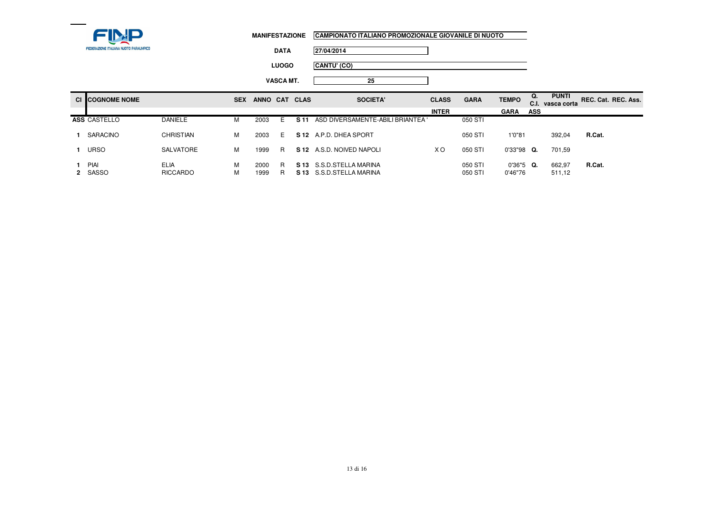

**DATA27/04/2014**

**LUOGOCANTU' (CO)**

**VASCA MT.25**

| <b>CI COGNOME NOME</b> |                                | <b>SEX</b> | <b>ANNO</b>  | <b>CAT</b> | <b>CLAS</b> | <b>SOCIETA'</b>                                       | <b>CLASS</b> | <b>GARA</b>        | <b>TEMPO</b>           | Q.<br>C.I. | <b>PUNTI</b><br>vasca corta | REC. Cat. REC. Ass. |
|------------------------|--------------------------------|------------|--------------|------------|-------------|-------------------------------------------------------|--------------|--------------------|------------------------|------------|-----------------------------|---------------------|
|                        |                                |            |              |            |             |                                                       | <b>INTER</b> |                    | <b>GARA</b>            | <b>ASS</b> |                             |                     |
| ASS CASTELLO           | <b>DANIELE</b>                 | M          | 2003         | F.         | S 11        | ASD DIVERSAMENTE-ABILI BRIANTEA                       |              | 050 STI            |                        |            |                             |                     |
| SARACINO               | CHRISTIAN                      | м          | 2003         | Е          | S 12        | A.P.D. DHEA SPORT                                     |              | 050 STI            | 1'0"81                 |            | 392,04                      | R.Cat.              |
| 1 URSO                 | SALVATORE                      | M          | 1999         | R          |             | S 12 A.S.D. NOIVED NAPOLI                             | xо           | 050 STI            | $0'33''98$ Q.          |            | 701.59                      |                     |
| PIAI<br>2 SASSO        | <b>ELIA</b><br><b>RICCARDO</b> | М<br>M     | 2000<br>1999 | R<br>R     |             | S 13 S.S.D. STELLA MARINA<br>S 13 S.S.D.STELLA MARINA |              | 050 STI<br>050 STI | $0'36"5$ Q.<br>0'46"76 |            | 662,97<br>511,12            | R.Cat.              |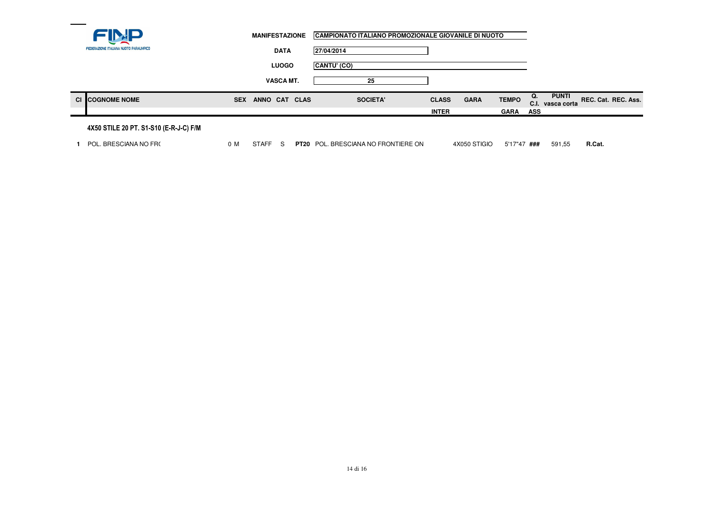|                                        |            | <b>MANIFESTAZIONE</b> |                  |             | CAMPIONATO ITALIANO PROMOZIONALE GIOVANILE DI NUOTO |              |             |              |            |                             |                     |
|----------------------------------------|------------|-----------------------|------------------|-------------|-----------------------------------------------------|--------------|-------------|--------------|------------|-----------------------------|---------------------|
| FEDERAZIONE ITALIANA NUOTO PARALIMPICO |            |                       | <b>DATA</b>      | 27/04/2014  |                                                     |              |             |              |            |                             |                     |
|                                        |            |                       | <b>LUOGO</b>     | CANTU' (CO) |                                                     |              |             |              |            |                             |                     |
|                                        |            |                       | <b>VASCA MT.</b> |             | 25                                                  |              |             |              |            |                             |                     |
| <b>CI COGNOME NOME</b>                 | <b>SEX</b> | ANNO CAT CLAS         |                  |             | SOCIETA'                                            | <b>CLASS</b> | <b>GARA</b> | <b>TEMPO</b> | Q.<br>C.I. | <b>PUNTI</b><br>vasca corta | REC. Cat. REC. Ass. |
|                                        |            |                       |                  |             |                                                     | <b>INTER</b> |             | <b>GARA</b>  | ASS        |                             |                     |
|                                        |            |                       |                  |             |                                                     |              |             |              |            |                             |                     |

#### 4X50 STILE 20 PT. S1-S10 (E-R-J-C) F/M

**1** POL. BRESCIANA NO FRO

<sup>0</sup> <sup>M</sup> STAFF <sup>S</sup> **PT20** POL. BRESCIANA NO FRONTIERE ON 4X050 STIGIO 5'17"47 **###** 591,55 **R.Cat.**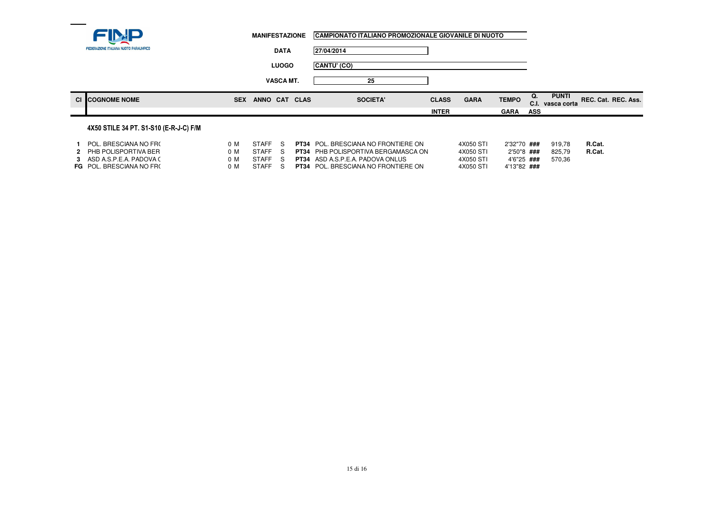|                                        | <b>MANIFESTAZIONE</b>       | CAMPIONATO ITALIANO PROMOZIONALE GIOVANILE DI NUOTO |              |             |              |            |                                  |                     |  |
|----------------------------------------|-----------------------------|-----------------------------------------------------|--------------|-------------|--------------|------------|----------------------------------|---------------------|--|
| FEDERAZIONE ITALIANA NUOTO PARALIMPICO | <b>DATA</b>                 | 27/04/2014                                          |              |             |              |            |                                  |                     |  |
|                                        | <b>LUOGO</b>                | CANTU' (CO)                                         |              |             |              |            |                                  |                     |  |
|                                        | <b>VASCA MT.</b>            | 25                                                  |              |             |              |            |                                  |                     |  |
| <b>CI COGNOME NOME</b>                 | <b>SEX</b><br>ANNO CAT CLAS | <b>SOCIETA'</b>                                     | <b>CLASS</b> | <b>GARA</b> | <b>TEMPO</b> | Q.         | <b>PUNTI</b><br>C.I. vasca corta | REC. Cat. REC. Ass. |  |
|                                        |                             |                                                     | <b>INTER</b> |             | <b>GARA</b>  | <b>ASS</b> |                                  |                     |  |
| 4X50 STILE 34 PT. S1-S10 (E-R-J-C) F/M |                             |                                                     |              |             |              |            |                                  |                     |  |

| POL. BRESCIANA NO FRO<br>2 PHB POLISPORTIVA BER          | n n<br>n M | <b>STAFF</b><br><b>STAFF</b> |            | <b>PT34</b> POL. BRESCIANA NO FRONTIERE ON<br><b>PT34</b> PHB POLISPORTIVA BERGAMASCA ON | 4X050 STI<br>4X050 STI | 2'32"70 ###<br>2'50"8 ### | 919.78<br>825.79 | R.Cat.<br>R.Cat. |
|----------------------------------------------------------|------------|------------------------------|------------|------------------------------------------------------------------------------------------|------------------------|---------------------------|------------------|------------------|
| 3 ASD A SPEA PADOVA (<br><b>FG</b> POL. BRESCIANA NO FRO | n M<br>n M | STAFF<br>STAFF               | - S<br>S S | <b>PT34</b> ASD A S P E A PADOVA ONLUS<br><b>PT34</b> POL. BRESCIANA NO FRONTIERE ON     | 4X050 STI<br>4X050 STI | 4'6"25###<br>4'13"82 ###  | 570.36           |                  |